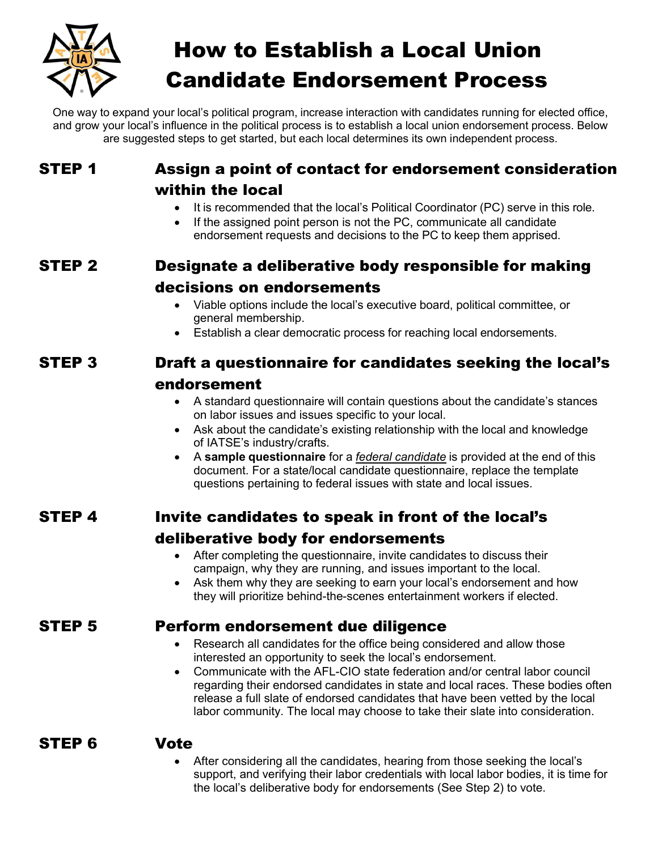

# How to Establish a Local Union Candidate Endorsement Process

One way to expand your local's political program, increase interaction with candidates running for elected office, and grow your local's influence in the political process is to establish a local union endorsement process. Below are suggested steps to get started, but each local determines its own independent process.

### STEP 1 Assign a point of contact for endorsement consideration within the local

- It is recommended that the local's Political Coordinator (PC) serve in this role.
- If the assigned point person is not the PC, communicate all candidate endorsement requests and decisions to the PC to keep them apprised.

## STEP 2 Designate a deliberative body responsible for making decisions on endorsements

- Viable options include the local's executive board, political committee, or general membership.
- Establish a clear democratic process for reaching local endorsements.

# STEP 3 Draft a questionnaire for candidates seeking the local's

### endorsement

- A standard questionnaire will contain questions about the candidate's stances on labor issues and issues specific to your local.
- Ask about the candidate's existing relationship with the local and knowledge of IATSE's industry/crafts.
- A **sample questionnaire** for a *federal candidate* is provided at the end of this document. For a state/local candidate questionnaire, replace the template questions pertaining to federal issues with state and local issues.

## STEP 4 Invite candidates to speak in front of the local's deliberative body for endorsements

- After completing the questionnaire, invite candidates to discuss their campaign, why they are running, and issues important to the local.
- Ask them why they are seeking to earn your local's endorsement and how they will prioritize behind-the-scenes entertainment workers if elected.

### STEP 5 Perform endorsement due diligence

- Research all candidates for the office being considered and allow those interested an opportunity to seek the local's endorsement.
- Communicate with the AFL-CIO state federation and/or central labor council regarding their endorsed candidates in state and local races. These bodies often release a full slate of endorsed candidates that have been vetted by the local labor community. The local may choose to take their slate into consideration.

### STEP 6 Vote

• After considering all the candidates, hearing from those seeking the local's support, and verifying their labor credentials with local labor bodies, it is time for the local's deliberative body for endorsements (See Step 2) to vote.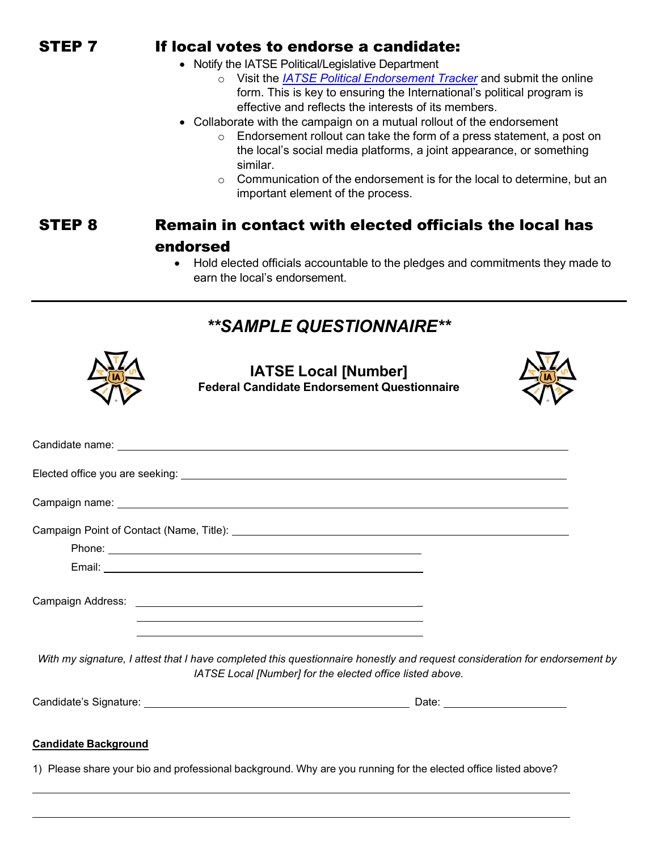### STEP 7 If local votes to endorse a candidate:

- Notify the IATSE Political/Legislative Department
	- o Visit the *[IATSE Political Endorsement Tracker](https://nam11.safelinks.protection.outlook.com/?url=https%3A%2F%2Fiatse.net%2Fpolitical-legislative%2Fendorsement-tracker%2F&data=04%7C01%7Cjrees%40iatse.net%7Cab0ef881b9ef494d94bc08da0e97fb6a%7C2df90b63cf6e467b8dd663f975519878%7C0%7C0%7C637838343168969516%7CUnknown%7CTWFpbGZsb3d8eyJWIjoiMC4wLjAwMDAiLCJQIjoiV2luMzIiLCJBTiI6Ik1haWwiLCJXVCI6Mn0%3D%7C3000&sdata=F19iJNS6E858kyiNjHcPNLWInpEDHx6N6CspyXHEUfo%3D&reserved=0)* and submit the online form. This is key to ensuring the International's political program is effective and reflects the interests of its members.
- Collaborate with the campaign on a mutual rollout of the endorsement
	- o Endorsement rollout can take the form of a press statement, a post on the local's social media platforms, a joint appearance, or something similar.
	- o Communication of the endorsement is for the local to determine, but an important element of the process.

### STEP 8 Remain in contact with elected officials the local has endorsed

• Hold elected officials accountable to the pledges and commitments they made to earn the local's endorsement.



**IATSE Local [Number] Federal Candidate Endorsement Questionnaire**



| Campaign name: <u>contract and contract and contract and contract and contract and contract and contract and contract and contract and contract and contract and contract and contract and contract and contract and contract an</u>                                        |                                 |  |  |
|-----------------------------------------------------------------------------------------------------------------------------------------------------------------------------------------------------------------------------------------------------------------------------|---------------------------------|--|--|
| Campaign Point of Contact (Name, Title): \\concontant \\contant \\contant \\contant \\contant \\contant \\conta                                                                                                                                                             |                                 |  |  |
|                                                                                                                                                                                                                                                                             |                                 |  |  |
|                                                                                                                                                                                                                                                                             |                                 |  |  |
|                                                                                                                                                                                                                                                                             |                                 |  |  |
| ,我们也不能在这里的时候,我们也不能在这里的时候,我们也不能会在这里的时候,我们也不能会在这里的时候,我们也不能会在这里的时候,我们也不能会在这里的时候,我们也<br>With my signature, I attest that I have completed this questionnaire honestly and request consideration for endorsement by<br>IATSE Local [Number] for the elected office listed above. |                                 |  |  |
|                                                                                                                                                                                                                                                                             | Date: _________________________ |  |  |

#### **Candidate Background**

1) Please share your bio and professional background. Why are you running for the elected office listed above?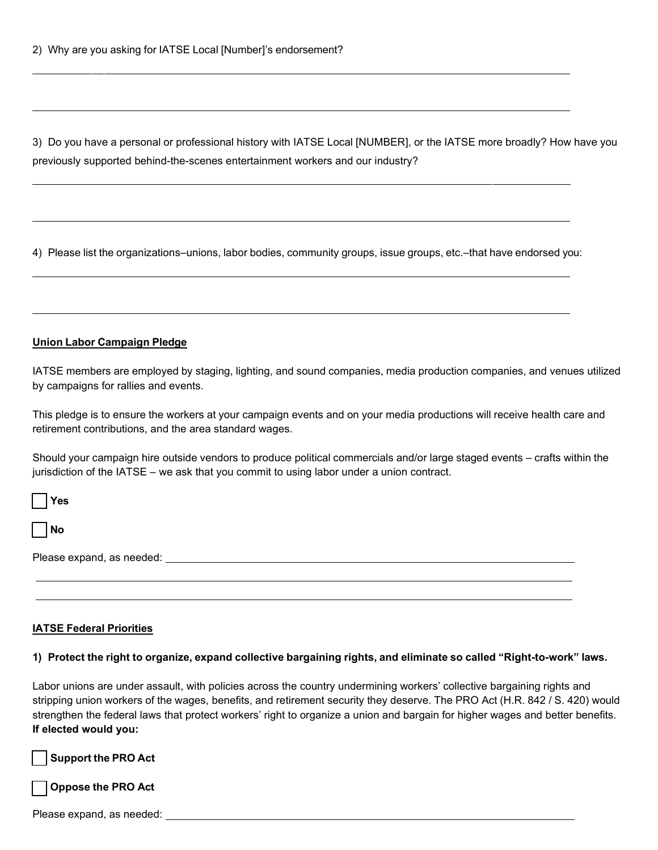3) Do you have a personal or professional history with IATSE Local [NUMBER], or the IATSE more broadly? How have you previously supported behind-the-scenes entertainment workers and our industry?

4) Please list the organizations–unions, labor bodies, community groups, issue groups, etc.–that have endorsed you:

#### **Union Labor Campaign Pledge**

IATSE members are employed by staging, lighting, and sound companies, media production companies, and venues utilized by campaigns for rallies and events.

This pledge is to ensure the workers at your campaign events and on your media productions will receive health care and retirement contributions, and the area standard wages.

Should your campaign hire outside vendors to produce political commercials and/or large staged events – crafts within the jurisdiction of the IATSE – we ask that you commit to using labor under a union contract.

| $\Box$ Yes                       |  |  |
|----------------------------------|--|--|
| $\Box$ No                        |  |  |
| Please expand, as needed: ______ |  |  |
|                                  |  |  |

#### **IATSE Federal Priorities**

#### 1) Protect the right to organize, expand collective bargaining rights, and eliminate so called "Right-to-work" laws.

Labor unions are under assault, with policies across the country undermining workers' collective bargaining rights and stripping union workers of the wages, benefits, and retirement security they deserve. The PRO Act (H.R. 842 / S. 420) would strengthen the federal laws that protect workers' right to organize a union and bargain for higher wages and better benefits. **If elected would you:**

**Support the PRO Act** 

**Oppose the PRO Act**

| Please expand, as needed: |  |
|---------------------------|--|
|---------------------------|--|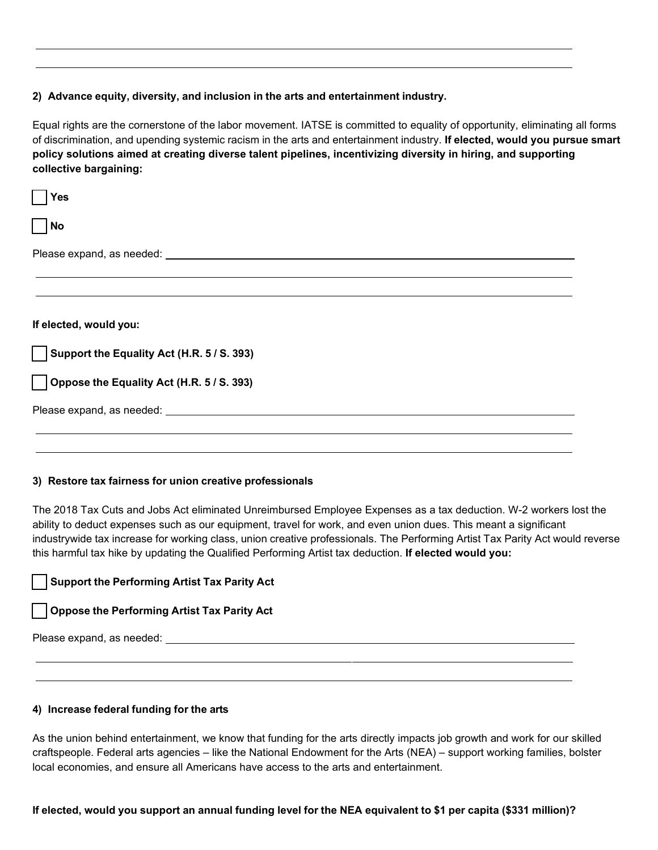#### **2) Advance equity, diversity, and inclusion in the arts and entertainment industry.**

Equal rights are the cornerstone of the labor movement. IATSE is committed to equality of opportunity, eliminating all forms of discrimination, and upending systemic racism in the arts and entertainment industry. **If elected, would you pursue smart policy solutions aimed at creating diverse talent pipelines, incentivizing diversity in hiring, and supporting collective bargaining:**

| Yes                                                                                                                                                                                                                                  |
|--------------------------------------------------------------------------------------------------------------------------------------------------------------------------------------------------------------------------------------|
| <b>No</b>                                                                                                                                                                                                                            |
| Please expand, as needed: <b>container and the expanding of the set of the set of the set of the set of the set of the set of the set of the set of the set of the set of the set of the set of the set of the set of the set of</b> |
|                                                                                                                                                                                                                                      |
|                                                                                                                                                                                                                                      |
| If elected, would you:                                                                                                                                                                                                               |
| Support the Equality Act (H.R. 5 / S. 393)                                                                                                                                                                                           |
| $\vert$   Oppose the Equality Act (H.R. 5 / S. 393)                                                                                                                                                                                  |
|                                                                                                                                                                                                                                      |
|                                                                                                                                                                                                                                      |
|                                                                                                                                                                                                                                      |

#### **3) Restore tax fairness for union creative professionals**

The 2018 Tax Cuts and Jobs Act eliminated Unreimbursed Employee Expenses as a tax deduction. W-2 workers lost the ability to deduct expenses such as our equipment, travel for work, and even union dues. This meant a significant industrywide tax increase for working class, union creative professionals. The Performing Artist Tax Parity Act would reverse this harmful tax hike by updating the Qualified Performing Artist tax deduction. **If elected would you:**

### **Support the Performing Artist Tax Parity Act**

#### **Oppose the Performing Artist Tax Parity Act**

Please expand, as needed:

#### **4) Increase federal funding for the arts**

As the union behind entertainment, we know that funding for the arts directly impacts job growth and work for our skilled craftspeople. Federal arts agencies – like the National Endowment for the Arts (NEA) – support working families, bolster local economies, and ensure all Americans have access to the arts and entertainment.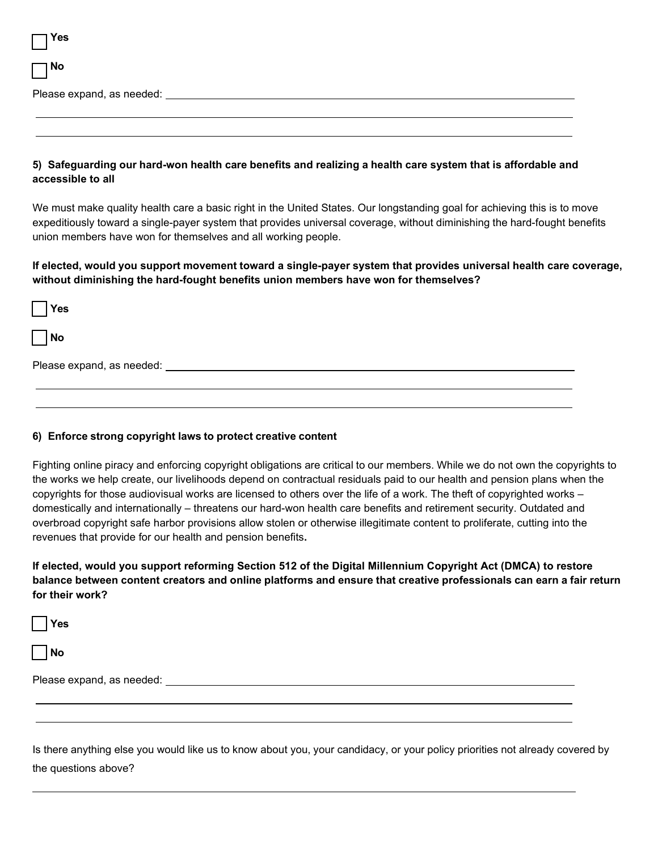| <b>Yes</b> |  |  |
|------------|--|--|
| $\Box$ No  |  |  |
|            |  |  |
|            |  |  |

#### **5) Safeguarding our hard-won health care benefits and realizing a health care system that is affordable and accessible to all**

We must make quality health care a basic right in the United States. Our longstanding goal for achieving this is to move expeditiously toward a single-payer system that provides universal coverage, without diminishing the hard-fought benefits union members have won for themselves and all working people.

**If elected, would you support movement toward a single-payer system that provides universal health care coverage, without diminishing the hard-fought benefits union members have won for themselves?**

| $ $ Yes                         |  |  |
|---------------------------------|--|--|
| $\Box$ No                       |  |  |
| Please expand, as needed: _____ |  |  |
|                                 |  |  |

#### **6) Enforce strong copyright laws to protect creative content**

Fighting online piracy and enforcing copyright obligations are critical to our members. While we do not own the copyrights to the works we help create, our livelihoods depend on contractual residuals paid to our health and pension plans when the copyrights for those audiovisual works are licensed to others over the life of a work. The theft of copyrighted works – domestically and internationally – threatens our hard-won health care benefits and retirement security. Outdated and overbroad copyright safe harbor provisions allow stolen or otherwise illegitimate content to proliferate, cutting into the revenues that provide for our health and pension benefits**.** 

**If elected, would you support reforming Section 512 of the Digital Millennium Copyright Act (DMCA) to restore balance between content creators and online platforms and ensure that creative professionals can earn a fair return for their work?**

**Yes** 

**No**

Please expand, as needed:

Is there anything else you would like us to know about you, your candidacy, or your policy priorities not already covered by the questions above?